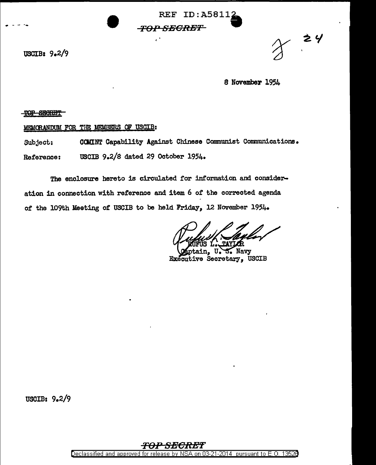**REF ID: A58112 TOP SECRET** 

USCIB:  $9.2/9$ 

## 8 November 1954

 $y^2$ 

## TOP SECRET

MEMORANDUM FOR THE MEMBERS OF USCIB:

COMINT Capability Against Chinese Communist Communications. Subject: USCIB 9.2/8 dated 29 October 1954. Reference:

¥.

The enclosure hereto is circulated for information and consideration in connection with reference and item 6 of the corrected agenda of the 109th Meeting of USCIB to be held Friday, 12 November 1954.

Navv Secretary, USCIB **Executive** 

USCIB:  $9.2/9$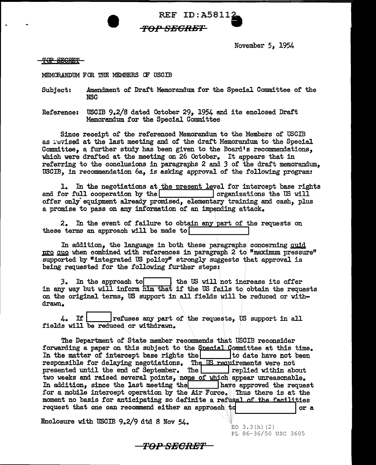REF ID:A58112<br> *FOP SEGRET* November 5, 1954

TOP SEGRET

MEMORANDUM FOR THE MEMBERS OF USCIB

Subject: Amendment of Draft Memorandum for the Special Committee or the NSC

rO:r.u SBORET

Reference: USCIB 9.2/S dated October 29, 1954 and its enclosed Draft Memorandum for the Special Committee

Since receipt of the referenced Memorandum to the Members of USCIB as : evised at the last meeting and of the draft Memorandum to the Special Committee, a further study has been given to the Board's recommendations, which were drafted at the meeting on 26 October. It appears that in referring to the conclusions in paragraphs 2 and 3 of the draft memorandum. USCIB, in recommendation 6a, is asking approval of the following program:

1. In the negotiations at the present level for intercept base rights for full cooperation by the  $\sqrt{\frac{1}{n}}$  organizations the US will and for full cooperation by the  $\Box$ offer only' equipment already promised, elementary training and cash, plus a promise to pass on any information of an impending attack.

2. In the event of failure to obtain any.part of the requests on these terms an approach will be made to

In addition, the language in both these paragraphs concerning quid pro quo 'When combined with references in paragraph 2 to "maximum pressure" supported by "integrated US policy" strongly suggests that approval is being requested for the following further steps:

3. In the approach to the US will not increase its offer in any way but will inform him that if the US fails to obtain the requests on the original terms, US support in\a.11 fields will be reduced or withdrawn.

 $4.$  If  $\vert$  refuses any part of the requests, US support in all fields will be reduced or withdrawn.

The Department of State member recommends that U'SCIB reconsider forwarding a paper on this subject to the Special Committee at this time.<br>In the matter of intercept base rights the  $\vert$  to date have not been In the matter of intercept base rights the responsible for delaying negotiations. The  $\overline{US}$  requirements were not presented until the end of September. The replied within about presented until the end of September. The two weeks and raised several points, none of which appear unreasonable. In addition, since the last meeting the lawe approved the request for a mobile intercept operation by the Air Force. Thus there is at the moment no basis for anticipating so definite a refusal of the facilities<br>request that one can recommend either an approach to set of the facilities

*i.,.,O:P* SEORBT

Enclosure with USCIB 9.2/9 dtd 8 Nov  $54.$ 

EO  $3.3(h)$  (2) PL 86-36/50 USC 3605